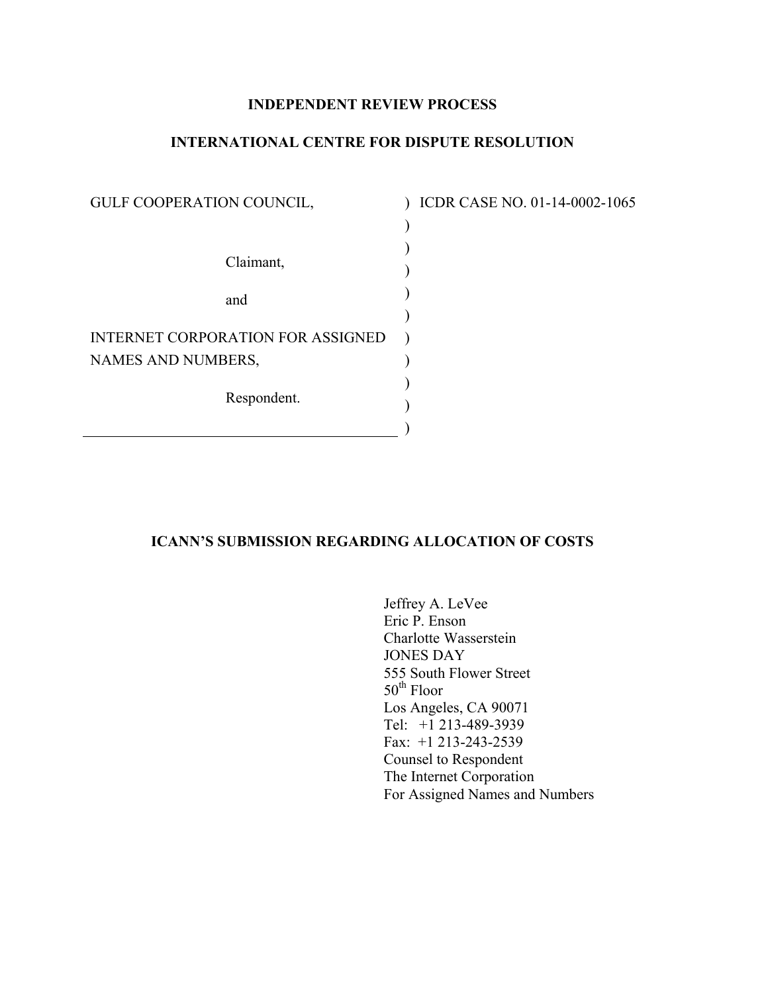# **INDEPENDENT REVIEW PROCESS**

# **INTERNATIONAL CENTRE FOR DISPUTE RESOLUTION**

) )  $\overline{)}$ ) ) ) ) ) ) )

| GULF COOPERATION COUNCIL,                                      |
|----------------------------------------------------------------|
| Claimant,                                                      |
| and                                                            |
| <b>INTERNET CORPORATION FOR ASSIGNED</b><br>NAMES AND NUMBERS, |
| Respondent.                                                    |

) ICDR CASE NO. 01-14-0002-1065

### **ICANN'S SUBMISSION REGARDING ALLOCATION OF COSTS**

Jeffrey A. LeVee Eric P. Enson Charlotte Wasserstein JONES DAY 555 South Flower Street 50<sup>th</sup> Floor Los Angeles, CA 90071 Tel: +1 213-489-3939 Fax: +1 213-243-2539 Counsel to Respondent The Internet Corporation For Assigned Names and Numbers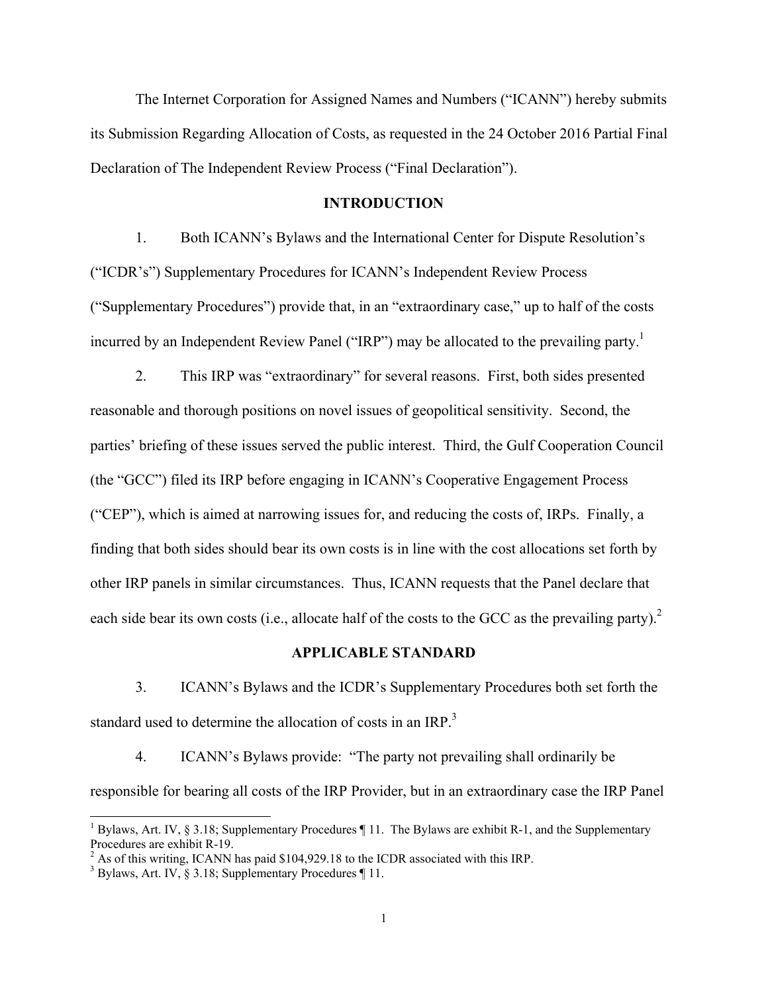The Internet Corporation for Assigned Names and Numbers ("ICANN") hereby submits its Submission Regarding Allocation of Costs, as requested in the 24 October 2016 Partial Final Declaration of The Independent Review Process ("Final Declaration").

#### **INTRODUCTION**

1. Both ICANN's Bylaws and the International Center for Dispute Resolution's ("ICDR's") Supplementary Procedures for ICANN's Independent Review Process ("Supplementary Procedures") provide that, in an "extraordinary case," up to half of the costs incurred by an Independent Review Panel ("IRP") may be allocated to the prevailing party.<sup>1</sup>

2. This IRP was "extraordinary" for several reasons. First, both sides presented reasonable and thorough positions on novel issues of geopolitical sensitivity. Second, the parties' briefing of these issues served the public interest. Third, the Gulf Cooperation Council (the "GCC") filed its IRP before engaging in ICANN's Cooperative Engagement Process ("CEP"), which is aimed at narrowing issues for, and reducing the costs of, IRPs. Finally, a finding that both sides should bear its own costs is in line with the cost allocations set forth by other IRP panels in similar circumstances. Thus, ICANN requests that the Panel declare that each side bear its own costs (i.e., allocate half of the costs to the GCC as the prevailing party).<sup>2</sup>

#### **APPLICABLE STANDARD**

3. ICANN's Bylaws and the ICDR's Supplementary Procedures both set forth the standard used to determine the allocation of costs in an IRP.<sup>3</sup>

4. ICANN's Bylaws provide: "The party not prevailing shall ordinarily be responsible for bearing all costs of the IRP Provider, but in an extraordinary case the IRP Panel

 $\overline{\phantom{a}}$ 

<sup>&</sup>lt;sup>1</sup> Bylaws, Art. IV, § 3.18; Supplementary Procedures ¶ 11. The Bylaws are exhibit R-1, and the Supplementary Procedures are exhibit R-19.

 $^{2}$  As of this writing, ICANN has paid \$104,929.18 to the ICDR associated with this IRP.

<sup>3</sup> Bylaws, Art. IV, § 3.18; Supplementary Procedures ¶ 11.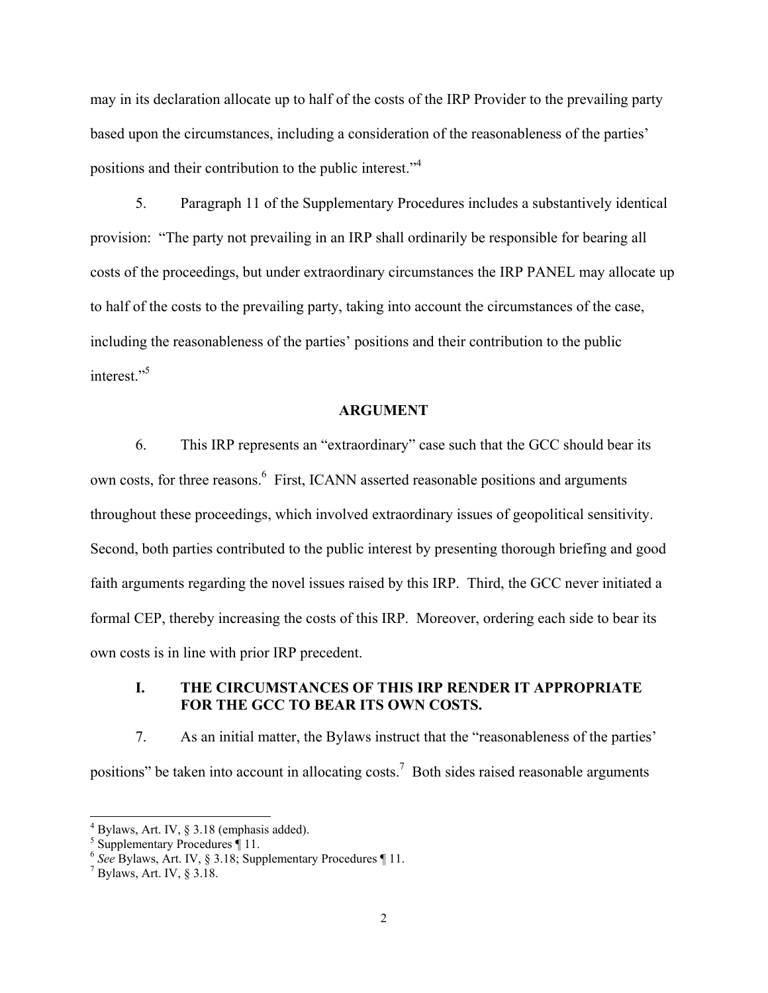may in its declaration allocate up to half of the costs of the IRP Provider to the prevailing party based upon the circumstances, including a consideration of the reasonableness of the parties' positions and their contribution to the public interest."<sup>4</sup>

5. Paragraph 11 of the Supplementary Procedures includes a substantively identical provision: "The party not prevailing in an IRP shall ordinarily be responsible for bearing all costs of the proceedings, but under extraordinary circumstances the IRP PANEL may allocate up to half of the costs to the prevailing party, taking into account the circumstances of the case, including the reasonableness of the parties' positions and their contribution to the public interest."<sup>5</sup>

#### **ARGUMENT**

6. This IRP represents an "extraordinary" case such that the GCC should bear its own costs, for three reasons.<sup>6</sup> First, ICANN asserted reasonable positions and arguments throughout these proceedings, which involved extraordinary issues of geopolitical sensitivity. Second, both parties contributed to the public interest by presenting thorough briefing and good faith arguments regarding the novel issues raised by this IRP. Third, the GCC never initiated a formal CEP, thereby increasing the costs of this IRP. Moreover, ordering each side to bear its own costs is in line with prior IRP precedent.

## **I. THE CIRCUMSTANCES OF THIS IRP RENDER IT APPROPRIATE FOR THE GCC TO BEAR ITS OWN COSTS.**

7. As an initial matter, the Bylaws instruct that the "reasonableness of the parties' positions" be taken into account in allocating costs.<sup>7</sup> Both sides raised reasonable arguments

 4 Bylaws, Art. IV, § 3.18 (emphasis added).

 $5$  Supplementary Procedures  $\P$  11.

<sup>6</sup> *See* Bylaws, Art. IV, § 3.18; Supplementary Procedures ¶ 11. 7

 $<sup>7</sup>$  Bylaws, Art. IV, § 3.18.</sup>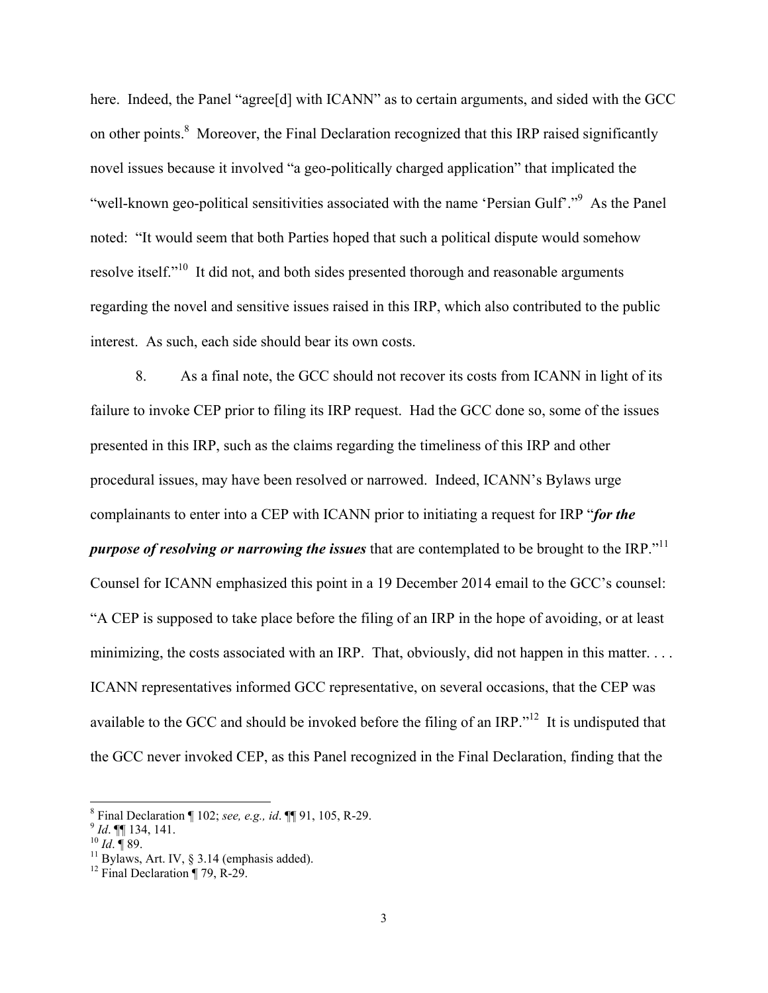here. Indeed, the Panel "agree<sup>[d]</sup> with ICANN" as to certain arguments, and sided with the GCC on other points.<sup>8</sup> Moreover, the Final Declaration recognized that this IRP raised significantly novel issues because it involved "a geo-politically charged application" that implicated the "well-known geo-political sensitivities associated with the name 'Persian Gulf'."<sup>9</sup> As the Panel noted: "It would seem that both Parties hoped that such a political dispute would somehow resolve itself."10 It did not, and both sides presented thorough and reasonable arguments regarding the novel and sensitive issues raised in this IRP, which also contributed to the public interest. As such, each side should bear its own costs.

8. As a final note, the GCC should not recover its costs from ICANN in light of its failure to invoke CEP prior to filing its IRP request. Had the GCC done so, some of the issues presented in this IRP, such as the claims regarding the timeliness of this IRP and other procedural issues, may have been resolved or narrowed.Indeed, ICANN's Bylaws urge complainants to enter into a CEP with ICANN prior to initiating a request for IRP "*for the purpose of resolving or narrowing the issues* that are contemplated to be brought to the IRP."<sup>11</sup> Counsel for ICANN emphasized this point in a 19 December 2014 email to the GCC's counsel: "A CEP is supposed to take place before the filing of an IRP in the hope of avoiding, or at least minimizing, the costs associated with an IRP. That, obviously, did not happen in this matter. . . . ICANN representatives informed GCC representative, on several occasions, that the CEP was available to the GCC and should be invoked before the filing of an IRP."12 It is undisputed that the GCC never invoked CEP, as this Panel recognized in the Final Declaration, finding that the

 $\overline{a}$ 

<sup>&</sup>lt;sup>8</sup> Final Declaration  $\P$  102; see, e.g., id.  $\P$  $\P$ 91, 105, R-29. <sup>8</sup> Final Declaration ¶ 102; *see, e.g., id.* ¶¶ 91, 105, R-29.<br><sup>9</sup> *Id.* ¶¶ 134, 141.<br><sup>10</sup> *Id.* ¶ 89. <sup>11</sup> Bylaws, Art. IV, § 3.14 (emphasis added).

<sup>&</sup>lt;sup>12</sup> Final Declaration  $\P$  79, R-29.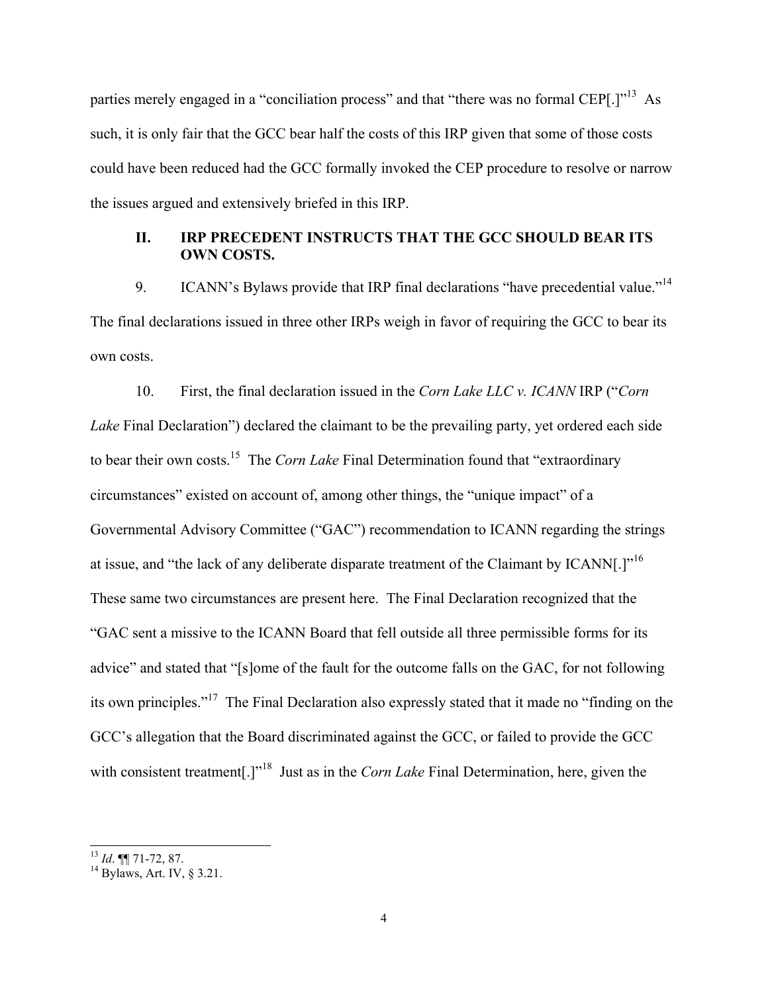parties merely engaged in a "conciliation process" and that "there was no formal CEP[.]"<sup>13</sup> As such, it is only fair that the GCC bear half the costs of this IRP given that some of those costs could have been reduced had the GCC formally invoked the CEP procedure to resolve or narrow the issues argued and extensively briefed in this IRP.

## **II. IRP PRECEDENT INSTRUCTS THAT THE GCC SHOULD BEAR ITS OWN COSTS.**

9. ICANN's Bylaws provide that IRP final declarations "have precedential value."<sup>14</sup> The final declarations issued in three other IRPs weigh in favor of requiring the GCC to bear its own costs.

10. First, the final declaration issued in the *Corn Lake LLC v. ICANN* IRP ("*Corn Lake* Final Declaration") declared the claimant to be the prevailing party, yet ordered each side to bear their own costs.15 The *Corn Lake* Final Determination found that "extraordinary circumstances" existed on account of, among other things, the "unique impact" of a Governmental Advisory Committee ("GAC") recommendation to ICANN regarding the strings at issue, and "the lack of any deliberate disparate treatment of the Claimant by ICANN[.]"<sup>16</sup> These same two circumstances are present here. The Final Declaration recognized that the "GAC sent a missive to the ICANN Board that fell outside all three permissible forms for its advice" and stated that "[s]ome of the fault for the outcome falls on the GAC, for not following its own principles."17 The Final Declaration also expressly stated that it made no "finding on the GCC's allegation that the Board discriminated against the GCC, or failed to provide the GCC with consistent treatment<sup>[1]"18</sup> Just as in the *Corn Lake* Final Determination, here, given the

 $\overline{a}$ 

<sup>&</sup>lt;sup>13</sup> *Id*. ¶¶ 71-72, 87.<br><sup>14</sup> Bylaws, Art. IV, § 3.21.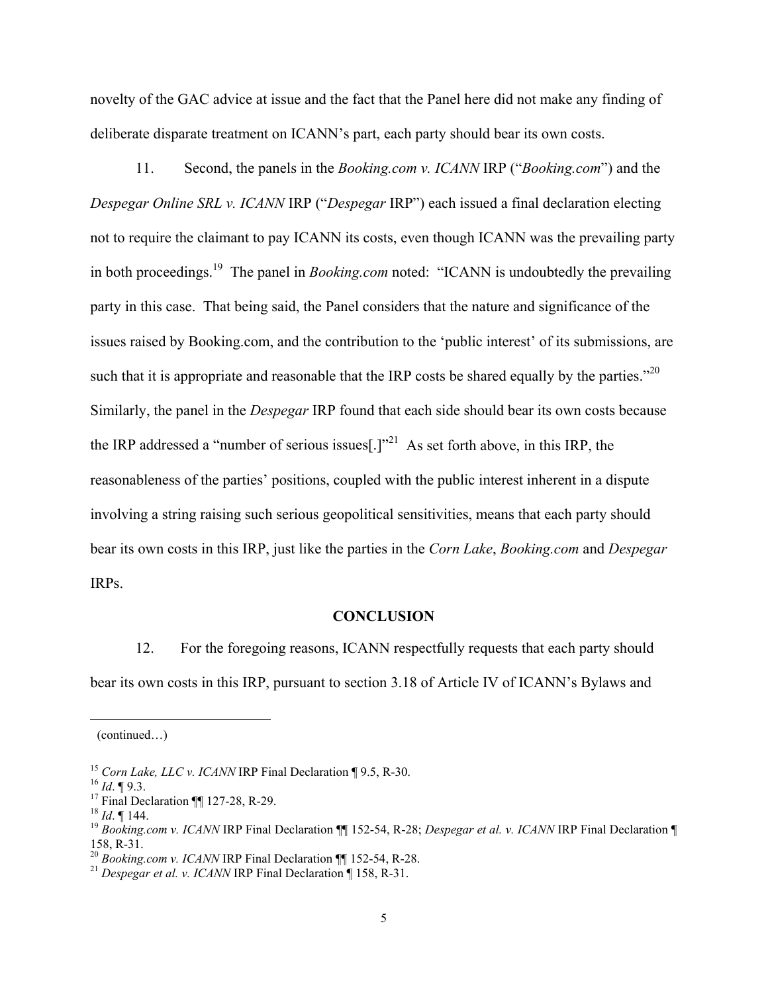novelty of the GAC advice at issue and the fact that the Panel here did not make any finding of deliberate disparate treatment on ICANN's part, each party should bear its own costs.

11. Second, the panels in the *Booking.com v. ICANN* IRP ("*Booking.com*") and the *Despegar Online SRL v. ICANN* IRP ("*Despegar* IRP") each issued a final declaration electing not to require the claimant to pay ICANN its costs, even though ICANN was the prevailing party in both proceedings.19 The panel in *Booking.com* noted: "ICANN is undoubtedly the prevailing party in this case. That being said, the Panel considers that the nature and significance of the issues raised by Booking.com, and the contribution to the 'public interest' of its submissions, are such that it is appropriate and reasonable that the IRP costs be shared equally by the parties." $^{20}$ Similarly, the panel in the *Despegar* IRP found that each side should bear its own costs because the IRP addressed a "number of serious issues[.]"<sup>21</sup> As set forth above, in this IRP, the reasonableness of the parties' positions, coupled with the public interest inherent in a dispute involving a string raising such serious geopolitical sensitivities, means that each party should bear its own costs in this IRP, just like the parties in the *Corn Lake*, *Booking.com* and *Despegar* IRPs.

### **CONCLUSION**

12. For the foregoing reasons, ICANN respectfully requests that each party should bear its own costs in this IRP, pursuant to section 3.18 of Article IV of ICANN's Bylaws and

<sup>(</sup>continued…)

<sup>&</sup>lt;sup>15</sup> *Corn Lake, LLC v. ICANN* IRP Final Declaration ¶ 9.5, R-30.<br><sup>16</sup> *Id.* ¶ 9.3. <sup>17</sup> Final Declaration ¶¶ 127-28, R-29.

<sup>&</sup>lt;sup>18</sup> *Id.* ¶ 144.<br><sup>19</sup> *Booking.com v. ICANN* IRP Final Declaration ¶¶ 152-54, R-28; *Despegar et al. v. ICANN* IRP Final Declaration ¶ 158, R-31.<br><sup>20</sup> Booking.com v. ICANN IRP Final Declaration ¶¶ 152-54, R-28.

<sup>&</sup>lt;sup>21</sup> *Despegar et al. v. ICANN* IRP Final Declaration ¶ 158, R-31.